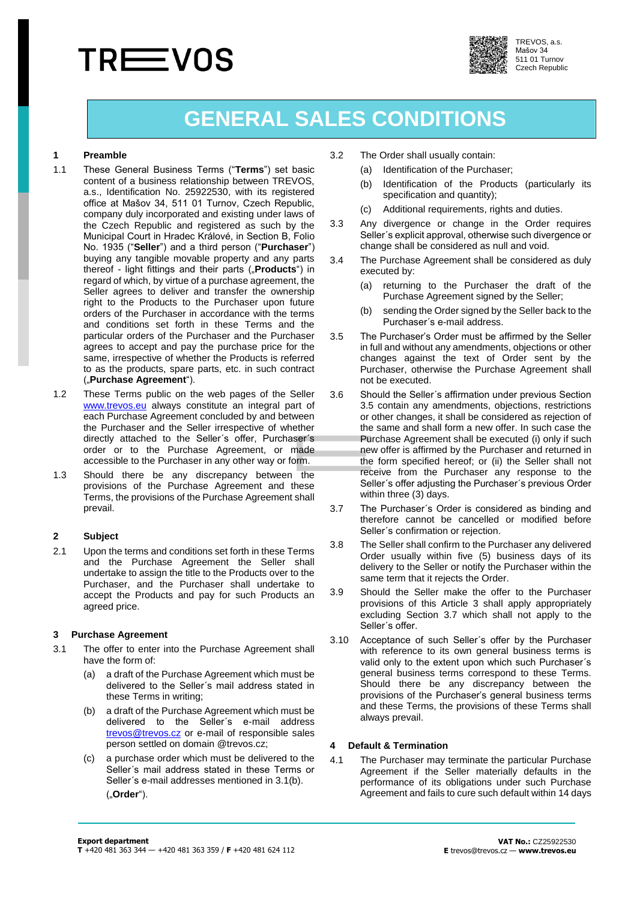# **TREEVOS**



TREVOS, a.s. Mašov 34 511 01 Turnov Czech Republic

# **GENERAL SALES CONDITIONS**

# **1 Preamble**

- 1.1 These General Business Terms ("**Terms**") set basic content of a business relationship between TREVOS, a.s., Identification No. 25922530, with its registered office at Mašov 34, 511 01 Turnov, Czech Republic, company duly incorporated and existing under laws of the Czech Republic and registered as such by the Municipal Court in Hradec Králové, in Section B, Folio No. 1935 ("**Seller**") and a third person ("**Purchaser**") buying any tangible movable property and any parts thereof - light fittings and their parts ("**Products**") in regard of which, by virtue of a purchase agreement, the Seller agrees to deliver and transfer the ownership right to the Products to the Purchaser upon future orders of the Purchaser in accordance with the terms and conditions set forth in these Terms and the particular orders of the Purchaser and the Purchaser agrees to accept and pay the purchase price for the same, irrespective of whether the Products is referred to as the products, spare parts, etc. in such contract ("**Purchase Agreement**").
- 1.2 These Terms public on the web pages of the Seller [www.trevos.e](http://www.trevos./)u always constitute an integral part of each Purchase Agreement concluded by and between the Purchaser and the Seller irrespective of whether directly attached to the Seller´s offer, Purchaser´s order or to the Purchase Agreement, or made accessible to the Purchaser in any other way or form.
- 1.3 Should there be any discrepancy between the provisions of the Purchase Agreement and these Terms, the provisions of the Purchase Agreement shall prevail.

# **2 Subject**

2.1 Upon the terms and conditions set forth in these Terms and the Purchase Agreement the Seller shall undertake to assign the title to the Products over to the Purchaser, and the Purchaser shall undertake to accept the Products and pay for such Products an agreed price.

#### <span id="page-0-1"></span>**3 Purchase Agreement**

- 3.1 The offer to enter into the Purchase Agreement shall have the form of:
	- (a) a draft of the Purchase Agreement which must be delivered to the Seller´s mail address stated in these Terms in writing;
	- (b) a draft of the Purchase Agreement which must be delivered to the Seller´s e-mail address [trevos@trevos.cz](mailto:trevos@trevos.cz) or e-mail of responsible sales person settled on domain @trevos.cz;
	- (c) a purchase order which must be delivered to the Seller´s mail address stated in these Terms or Seller´s e-mail addresses mentioned in 3.1(b). ("**Order**").
- 3.2 The Order shall usually contain:
	- (a) Identification of the Purchaser;
	- (b) Identification of the Products (particularly its specification and quantity):
	- (c) Additional requirements, rights and duties.
- 3.3 Any divergence or change in the Order requires Seller´s explicit approval, otherwise such divergence or change shall be considered as null and void.
- 3.4 The Purchase Agreement shall be considered as duly executed by:
	- (a) returning to the Purchaser the draft of the Purchase Agreement signed by the Seller;
	- (b) sending the Order signed by the Seller back to the Purchaser´s e-mail address.
- <span id="page-0-0"></span>3.5 The Purchaser's Order must be affirmed by the Seller in full and without any amendments, objections or other changes against the text of Order sent by the Purchaser, otherwise the Purchase Agreement shall not be executed.
- 3.6 Should the Seller´s affirmation under previous Section [3.5](#page-0-0) contain any amendments, objections, restrictions or other changes, it shall be considered as rejection of the same and shall form a new offer. In such case the Purchase Agreement shall be executed (i) only if such new offer is affirmed by the Purchaser and returned in the form specified hereof; or (ii) the Seller shall not receive from the Purchaser any response to the Seller´s offer adjusting the Purchaser´s previous Order within three (3) days.
- <span id="page-0-2"></span>3.7 The Purchaser´s Order is considered as binding and therefore cannot be cancelled or modified before Seller´s confirmation or rejection.
- 3.8 The Seller shall confirm to the Purchaser any delivered Order usually within five (5) business days of its delivery to the Seller or notify the Purchaser within the same term that it rejects the Order.
- 3.9 Should the Seller make the offer to the Purchaser provisions of this Article [3](#page-0-1) shall apply appropriately excluding Section [3.7](#page-0-2) which shall not apply to the Seller´s offer.
- 3.10 Acceptance of such Seller´s offer by the Purchaser with reference to its own general business terms is valid only to the extent upon which such Purchaser´s general business terms correspond to these Terms. Should there be any discrepancy between the provisions of the Purchaser's general business terms and these Terms, the provisions of these Terms shall always prevail.

#### **4 Default & Termination**

4.1 The Purchaser may terminate the particular Purchase Agreement if the Seller materially defaults in the performance of its obligations under such Purchase Agreement and fails to cure such default within 14 days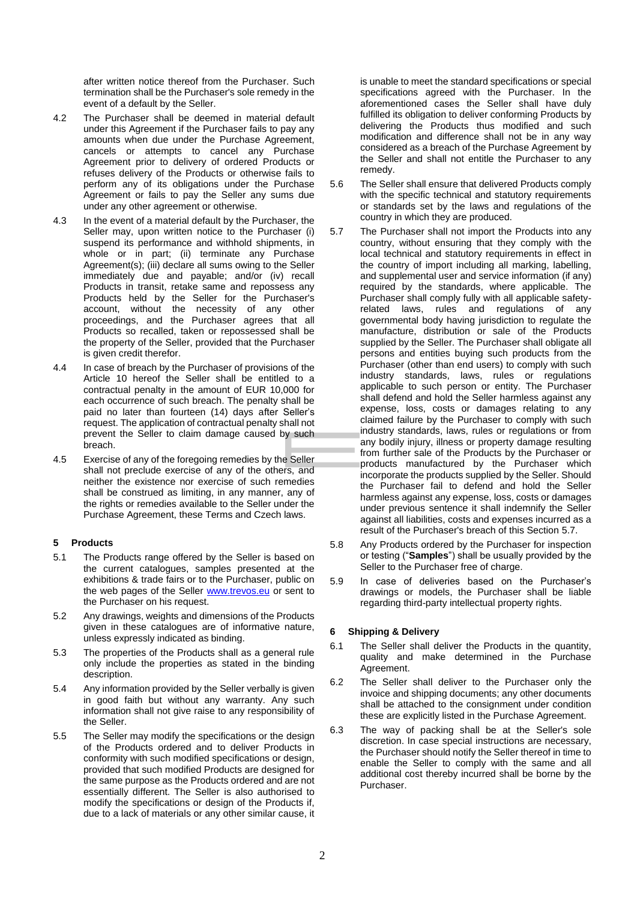after written notice thereof from the Purchaser. Such termination shall be the Purchaser's sole remedy in the event of a default by the Seller.

- 4.2 The Purchaser shall be deemed in material default under this Agreement if the Purchaser fails to pay any amounts when due under the Purchase Agreement, cancels or attempts to cancel any Purchase Agreement prior to delivery of ordered Products or refuses delivery of the Products or otherwise fails to perform any of its obligations under the Purchase Agreement or fails to pay the Seller any sums due under any other agreement or otherwise.
- 4.3 In the event of a material default by the Purchaser, the Seller may, upon written notice to the Purchaser (i) suspend its performance and withhold shipments, in whole or in part; (ii) terminate any Purchase Agreement(s); (iii) declare all sums owing to the Seller immediately due and payable; and/or (iv) recall Products in transit, retake same and repossess any Products held by the Seller for the Purchaser's account, without the necessity of any other proceedings, and the Purchaser agrees that all Products so recalled, taken or repossessed shall be the property of the Seller, provided that the Purchaser is given credit therefor.
- 4.4 In case of breach by the Purchaser of provisions of the Article [10](#page-3-0) hereof the Seller shall be entitled to a contractual penalty in the amount of EUR 10,000 for each occurrence of such breach. The penalty shall be paid no later than fourteen (14) days after Seller's request. The application of contractual penalty shall not prevent the Seller to claim damage caused by such breach.
- 4.5 Exercise of any of the foregoing remedies by the Seller shall not preclude exercise of any of the others, and neither the existence nor exercise of such remedies shall be construed as limiting, in any manner, any of the rights or remedies available to the Seller under the Purchase Agreement, these Terms and Czech laws.

# **5 Products**

- 5.1 The Products range offered by the Seller is based on the current catalogues, samples presented at the exhibitions & trade fairs or to the Purchaser, public on the web pages of the Seller [www.trevos.eu](http://www.trevos.eu/) or sent to the Purchaser on his request.
- 5.2 Any drawings, weights and dimensions of the Products given in these catalogues are of informative nature, unless expressly indicated as binding.
- 5.3 The properties of the Products shall as a general rule only include the properties as stated in the binding description.
- 5.4 Any information provided by the Seller verbally is given in good faith but without any warranty. Any such information shall not give raise to any responsibility of the Seller.
- 5.5 The Seller may modify the specifications or the design of the Products ordered and to deliver Products in conformity with such modified specifications or design, provided that such modified Products are designed for the same purpose as the Products ordered and are not essentially different. The Seller is also authorised to modify the specifications or design of the Products if, due to a lack of materials or any other similar cause, it

is unable to meet the standard specifications or special specifications agreed with the Purchaser. In the aforementioned cases the Seller shall have duly fulfilled its obligation to deliver conforming Products by delivering the Products thus modified and such modification and difference shall not be in any way considered as a breach of the Purchase Agreement by the Seller and shall not entitle the Purchaser to any remedy.

- 5.6 The Seller shall ensure that delivered Products comply with the specific technical and statutory requirements or standards set by the laws and regulations of the country in which they are produced.
- <span id="page-1-0"></span>5.7 The Purchaser shall not import the Products into any country, without ensuring that they comply with the local technical and statutory requirements in effect in the country of import including all marking, labelling, and supplemental user and service information (if any) required by the standards, where applicable. The Purchaser shall comply fully with all applicable safetyrelated laws, rules and regulations of any governmental body having jurisdiction to regulate the manufacture, distribution or sale of the Products supplied by the Seller. The Purchaser shall obligate all persons and entities buying such products from the Purchaser (other than end users) to comply with such industry standards, laws, rules or regulations applicable to such person or entity. The Purchaser shall defend and hold the Seller harmless against any expense, loss, costs or damages relating to any claimed failure by the Purchaser to comply with such industry standards, laws, rules or regulations or from any bodily injury, illness or property damage resulting from further sale of the Products by the Purchaser or products manufactured by the Purchaser which incorporate the products supplied by the Seller. Should the Purchaser fail to defend and hold the Seller harmless against any expense, loss, costs or damages under previous sentence it shall indemnify the Seller against all liabilities, costs and expenses incurred as a result of the Purchaser's breach of this Section [5.7.](#page-1-0)
- 5.8 Any Products ordered by the Purchaser for inspection or testing ("**Samples**") shall be usually provided by the Seller to the Purchaser free of charge.
- 5.9 In case of deliveries based on the Purchaser's drawings or models, the Purchaser shall be liable regarding third-party intellectual property rights.

# **6 Shipping & Delivery**

- 6.1 The Seller shall deliver the Products in the quantity, quality and make determined in the Purchase Agreement.
- 6.2 The Seller shall deliver to the Purchaser only the invoice and shipping documents; any other documents shall be attached to the consignment under condition these are explicitly listed in the Purchase Agreement.
- 6.3 The way of packing shall be at the Seller's sole discretion. In case special instructions are necessary, the Purchaser should notify the Seller thereof in time to enable the Seller to comply with the same and all additional cost thereby incurred shall be borne by the **Purchaser**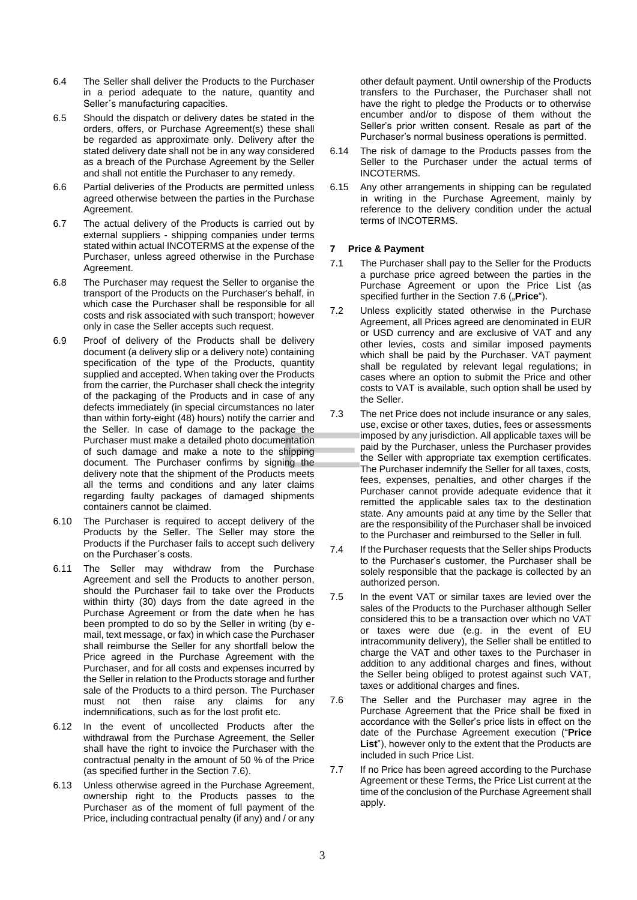- 6.4 The Seller shall deliver the Products to the Purchaser in a period adequate to the nature, quantity and Seller´s manufacturing capacities.
- 6.5 Should the dispatch or delivery dates be stated in the orders, offers, or Purchase Agreement(s) these shall be regarded as approximate only. Delivery after the stated delivery date shall not be in any way considered as a breach of the Purchase Agreement by the Seller and shall not entitle the Purchaser to any remedy.
- 6.6 Partial deliveries of the Products are permitted unless agreed otherwise between the parties in the Purchase Agreement.
- 6.7 The actual delivery of the Products is carried out by external suppliers - shipping companies under terms stated within actual INCOTERMS at the expense of the Purchaser, unless agreed otherwise in the Purchase Agreement.
- 6.8 The Purchaser may request the Seller to organise the transport of the Products on the Purchaser's behalf, in which case the Purchaser shall be responsible for all costs and risk associated with such transport; however only in case the Seller accepts such request.
- 6.9 Proof of delivery of the Products shall be delivery document (a delivery slip or a delivery note) containing specification of the type of the Products, quantity supplied and accepted. When taking over the Products from the carrier, the Purchaser shall check the integrity of the packaging of the Products and in case of any defects immediately (in special circumstances no later than within forty-eight (48) hours) notify the carrier and the Seller. In case of damage to the package the Purchaser must make a detailed photo documentation of such damage and make a note to the shipping document. The Purchaser confirms by signing the delivery note that the shipment of the Products meets all the terms and conditions and any later claims regarding faulty packages of damaged shipments containers cannot be claimed.
- 6.10 The Purchaser is required to accept delivery of the Products by the Seller. The Seller may store the Products if the Purchaser fails to accept such delivery on the Purchaser´s costs.
- 6.11 The Seller may withdraw from the Purchase Agreement and sell the Products to another person, should the Purchaser fail to take over the Products within thirty (30) days from the date agreed in the Purchase Agreement or from the date when he has been prompted to do so by the Seller in writing (by email, text message, or fax) in which case the Purchaser shall reimburse the Seller for any shortfall below the Price agreed in the Purchase Agreement with the Purchaser, and for all costs and expenses incurred by the Seller in relation to the Products storage and further sale of the Products to a third person. The Purchaser must not then raise any claims for any indemnifications, such as for the lost profit etc.
- 6.12 In the event of uncollected Products after the withdrawal from the Purchase Agreement, the Seller shall have the right to invoice the Purchaser with the contractual penalty in the amount of 50 % of the Price (as specified further in the Sectio[n 7.6\)](#page-2-0).
- 6.13 Unless otherwise agreed in the Purchase Agreement, ownership right to the Products passes to the Purchaser as of the moment of full payment of the Price, including contractual penalty (if any) and / or any

other default payment. Until ownership of the Products transfers to the Purchaser, the Purchaser shall not have the right to pledge the Products or to otherwise encumber and/or to dispose of them without the Seller's prior written consent. Resale as part of the Purchaser's normal business operations is permitted.

- 6.14 The risk of damage to the Products passes from the Seller to the Purchaser under the actual terms of INCOTERMS.
- 6.15 Any other arrangements in shipping can be regulated in writing in the Purchase Agreement, mainly by reference to the delivery condition under the actual terms of INCOTERMS.

### **7 Price & Payment**

- 7.1 The Purchaser shall pay to the Seller for the Products a purchase price agreed between the parties in the Purchase Agreement or upon the Price List (as specified further in the Section [7.6](#page-2-0) ("Price").
- 7.2 Unless explicitly stated otherwise in the Purchase Agreement, all Prices agreed are denominated in EUR or USD currency and are exclusive of VAT and any other levies, costs and similar imposed payments which shall be paid by the Purchaser. VAT payment shall be regulated by relevant legal regulations; in cases where an option to submit the Price and other costs to VAT is available, such option shall be used by the Seller.
- 7.3 The net Price does not include insurance or any sales, use, excise or other taxes, duties, fees or assessments imposed by any jurisdiction. All applicable taxes will be paid by the Purchaser, unless the Purchaser provides the Seller with appropriate tax exemption certificates. The Purchaser indemnify the Seller for all taxes, costs, fees, expenses, penalties, and other charges if the Purchaser cannot provide adequate evidence that it remitted the applicable sales tax to the destination state. Any amounts paid at any time by the Seller that are the responsibility of the Purchaser shall be invoiced to the Purchaser and reimbursed to the Seller in full.
- 7.4 If the Purchaser requests that the Seller ships Products to the Purchaser's customer, the Purchaser shall be solely responsible that the package is collected by an authorized person.
- 7.5 In the event VAT or similar taxes are levied over the sales of the Products to the Purchaser although Seller considered this to be a transaction over which no VAT or taxes were due (e.g. in the event of EU intracommunity delivery), the Seller shall be entitled to charge the VAT and other taxes to the Purchaser in addition to any additional charges and fines, without the Seller being obliged to protest against such VAT, taxes or additional charges and fines.
- <span id="page-2-0"></span>7.6 The Seller and the Purchaser may agree in the Purchase Agreement that the Price shall be fixed in accordance with the Seller's price lists in effect on the date of the Purchase Agreement execution ("**Price List**"), however only to the extent that the Products are included in such Price List.
- 7.7 If no Price has been agreed according to the Purchase Agreement or these Terms, the Price List current at the time of the conclusion of the Purchase Agreement shall apply.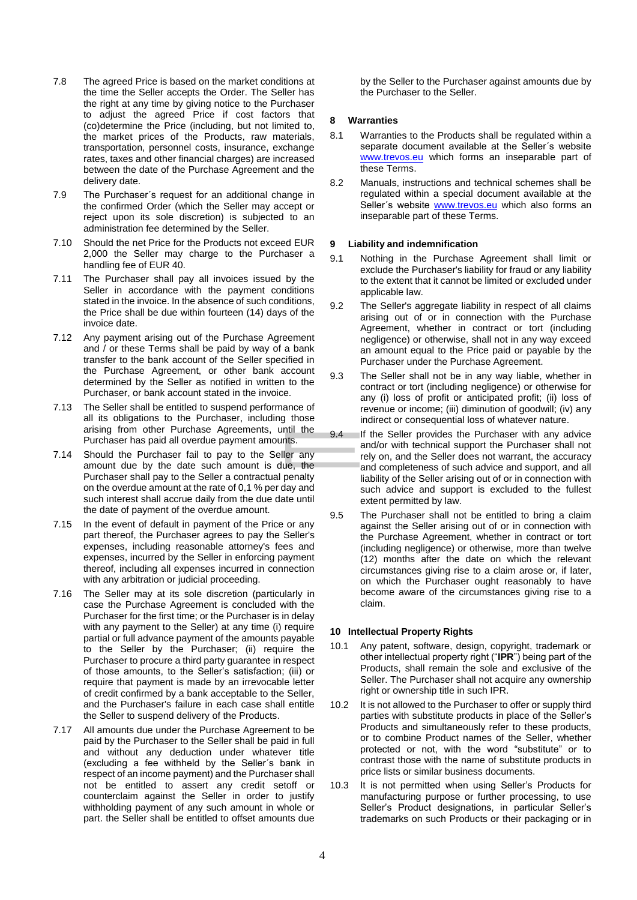- 7.8 The agreed Price is based on the market conditions at the time the Seller accepts the Order. The Seller has the right at any time by giving notice to the Purchaser to adjust the agreed Price if cost factors that (co)determine the Price (including, but not limited to, the market prices of the Products, raw materials, transportation, personnel costs, insurance, exchange rates, taxes and other financial charges) are increased between the date of the Purchase Agreement and the delivery date.
- 7.9 The Purchaser´s request for an additional change in the confirmed Order (which the Seller may accept or reject upon its sole discretion) is subjected to an administration fee determined by the Seller.
- 7.10 Should the net Price for the Products not exceed EUR 2,000 the Seller may charge to the Purchaser a handling fee of EUR 40.
- 7.11 The Purchaser shall pay all invoices issued by the Seller in accordance with the payment conditions stated in the invoice. In the absence of such conditions, the Price shall be due within fourteen (14) days of the invoice date.
- 7.12 Any payment arising out of the Purchase Agreement and / or these Terms shall be paid by way of a bank transfer to the bank account of the Seller specified in the Purchase Agreement, or other bank account determined by the Seller as notified in written to the Purchaser, or bank account stated in the invoice.
- 7.13 The Seller shall be entitled to suspend performance of all its obligations to the Purchaser, including those arising from other Purchase Agreements, until the Purchaser has paid all overdue payment amounts.
- 7.14 Should the Purchaser fail to pay to the Seller any amount due by the date such amount is due, the Purchaser shall pay to the Seller a contractual penalty on the overdue amount at the rate of 0,1 % per day and such interest shall accrue daily from the due date until the date of payment of the overdue amount.
- 7.15 In the event of default in payment of the Price or any part thereof, the Purchaser agrees to pay the Seller's expenses, including reasonable attorney's fees and expenses, incurred by the Seller in enforcing payment thereof, including all expenses incurred in connection with any arbitration or judicial proceeding.
- 7.16 The Seller may at its sole discretion (particularly in case the Purchase Agreement is concluded with the Purchaser for the first time; or the Purchaser is in delay with any payment to the Seller) at any time (i) require partial or full advance payment of the amounts payable to the Seller by the Purchaser; (ii) require the Purchaser to procure a third party guarantee in respect of those amounts, to the Seller's satisfaction; (iii) or require that payment is made by an irrevocable letter of credit confirmed by a bank acceptable to the Seller, and the Purchaser's failure in each case shall entitle the Seller to suspend delivery of the Products.
- 7.17 All amounts due under the Purchase Agreement to be paid by the Purchaser to the Seller shall be paid in full and without any deduction under whatever title (excluding a fee withheld by the Seller´s bank in respect of an income payment) and the Purchaser shall not be entitled to assert any credit setoff or counterclaim against the Seller in order to justify withholding payment of any such amount in whole or part. the Seller shall be entitled to offset amounts due

by the Seller to the Purchaser against amounts due by the Purchaser to the Seller.

## **8 Warranties**

- 8.1 Warranties to the Products shall be regulated within a separate document available at the Seller´s website [www.trevos.eu](http://www.trevos.eu/) which forms an inseparable part of these Terms.
- 8.2 Manuals, instructions and technical schemes shall be regulated within a special document available at the Seller's website [www.trevos.eu](http://www.trevos.eu/) which also forms an inseparable part of these Terms.

#### **9 Liability and indemnification**

- 9.1 Nothing in the Purchase Agreement shall limit or exclude the Purchaser's liability for fraud or any liability to the extent that it cannot be limited or excluded under applicable law.
- 9.2 The Seller's aggregate liability in respect of all claims arising out of or in connection with the Purchase Agreement, whether in contract or tort (including negligence) or otherwise, shall not in any way exceed an amount equal to the Price paid or payable by the Purchaser under the Purchase Agreement.
- 9.3 The Seller shall not be in any way liable, whether in contract or tort (including negligence) or otherwise for any (i) loss of profit or anticipated profit; (ii) loss of revenue or income; (iii) diminution of goodwill; (iv) any indirect or consequential loss of whatever nature.
- 9.4 If the Seller provides the Purchaser with any advice and/or with technical support the Purchaser shall not rely on, and the Seller does not warrant, the accuracy and completeness of such advice and support, and all liability of the Seller arising out of or in connection with such advice and support is excluded to the fullest extent permitted by law.
- 9.5 The Purchaser shall not be entitled to bring a claim against the Seller arising out of or in connection with the Purchase Agreement, whether in contract or tort (including negligence) or otherwise, more than twelve (12) months after the date on which the relevant circumstances giving rise to a claim arose or, if later, on which the Purchaser ought reasonably to have become aware of the circumstances giving rise to a claim.

#### <span id="page-3-0"></span>**10 Intellectual Property Rights**

- 10.1 Any patent, software, design, copyright, trademark or other intellectual property right ("**IPR**") being part of the Products, shall remain the sole and exclusive of the Seller. The Purchaser shall not acquire any ownership right or ownership title in such IPR.
- 10.2 It is not allowed to the Purchaser to offer or supply third parties with substitute products in place of the Seller's Products and simultaneously refer to these products, or to combine Product names of the Seller, whether protected or not, with the word "substitute" or to contrast those with the name of substitute products in price lists or similar business documents.
- 10.3 It is not permitted when using Seller's Products for manufacturing purpose or further processing, to use Seller's Product designations, in particular Seller's trademarks on such Products or their packaging or in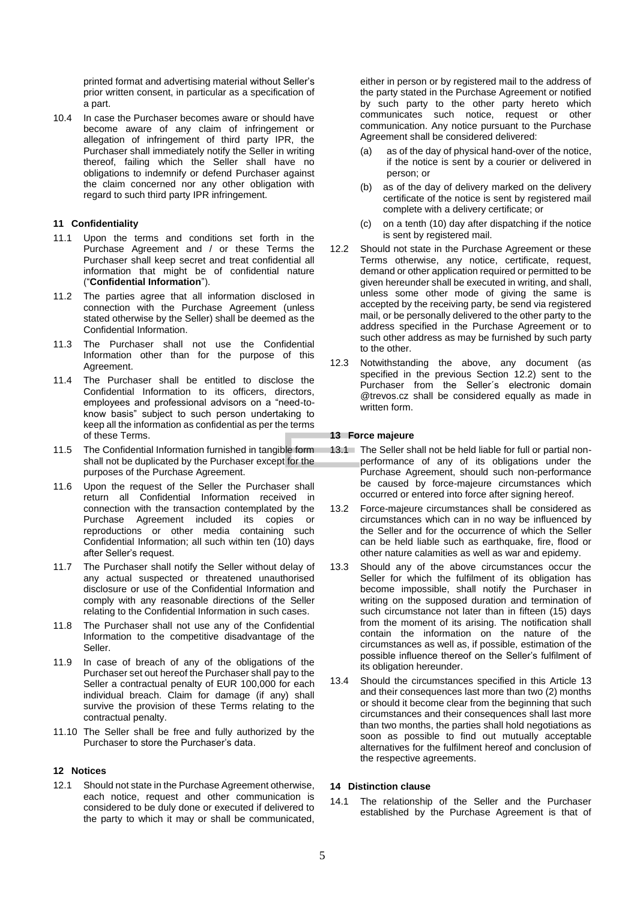printed format and advertising material without Seller's prior written consent, in particular as a specification of a part.

10.4 In case the Purchaser becomes aware or should have become aware of any claim of infringement or allegation of infringement of third party IPR, the Purchaser shall immediately notify the Seller in writing thereof, failing which the Seller shall have no obligations to indemnify or defend Purchaser against the claim concerned nor any other obligation with regard to such third party IPR infringement.

## **11 Confidentiality**

- 11.1 Upon the terms and conditions set forth in the Purchase Agreement and / or these Terms the Purchaser shall keep secret and treat confidential all information that might be of confidential nature ("**Confidential Information**").
- 11.2 The parties agree that all information disclosed in connection with the Purchase Agreement (unless stated otherwise by the Seller) shall be deemed as the Confidential Information.
- 11.3 The Purchaser shall not use the Confidential Information other than for the purpose of this Agreement.
- 11.4 The Purchaser shall be entitled to disclose the Confidential Information to its officers, directors, employees and professional advisors on a "need-toknow basis" subject to such person undertaking to keep all the information as confidential as per the terms of these Terms.
- 11.5 The Confidential Information furnished in tangible form shall not be duplicated by the Purchaser except for the purposes of the Purchase Agreement.
- 11.6 Upon the request of the Seller the Purchaser shall return all Confidential Information received in connection with the transaction contemplated by the Purchase Agreement included its copies or reproductions or other media containing such Confidential Information; all such within ten (10) days after Seller's request.
- 11.7 The Purchaser shall notify the Seller without delay of any actual suspected or threatened unauthorised disclosure or use of the Confidential Information and comply with any reasonable directions of the Seller relating to the Confidential Information in such cases.
- 11.8 The Purchaser shall not use any of the Confidential Information to the competitive disadvantage of the Seller.
- 11.9 In case of breach of any of the obligations of the Purchaser set out hereof the Purchaser shall pay to the Seller a contractual penalty of EUR 100,000 for each individual breach. Claim for damage (if any) shall survive the provision of these Terms relating to the contractual penalty.
- 11.10 The Seller shall be free and fully authorized by the Purchaser to store the Purchaser's data.

#### **12 Notices**

12.1 Should not state in the Purchase Agreement otherwise, each notice, request and other communication is considered to be duly done or executed if delivered to the party to which it may or shall be communicated,

either in person or by registered mail to the address of the party stated in the Purchase Agreement or notified by such party to the other party hereto which communicates such notice, request or other communication. Any notice pursuant to the Purchase Agreement shall be considered delivered:

- (a) as of the day of physical hand-over of the notice, if the notice is sent by a courier or delivered in person; or
- (b) as of the day of delivery marked on the delivery certificate of the notice is sent by registered mail complete with a delivery certificate; or
- (c) on a tenth (10) day after dispatching if the notice is sent by registered mail.
- <span id="page-4-0"></span>12.2 Should not state in the Purchase Agreement or these Terms otherwise, any notice, certificate, request, demand or other application required or permitted to be given hereunder shall be executed in writing, and shall, unless some other mode of giving the same is accepted by the receiving party, be send via registered mail, or be personally delivered to the other party to the address specified in the Purchase Agreement or to such other address as may be furnished by such party to the other.
- <span id="page-4-2"></span>12.3 Notwithstanding the above, any document (as specified in the previous Section [12.2\)](#page-4-0) sent to the Purchaser from the Seller´s electronic domain @trevos.cz shall be considered equally as made in written form.

### <span id="page-4-1"></span>**13 Force majeure**

- 13.1 The Seller shall not be held liable for full or partial nonperformance of any of its obligations under the Purchase Agreement, should such non-performance be caused by force-majeure circumstances which occurred or entered into force after signing hereof.
- 13.2 Force-majeure circumstances shall be considered as circumstances which can in no way be influenced by the Seller and for the occurrence of which the Seller can be held liable such as earthquake, fire, flood or other nature calamities as well as war and epidemy.
- 13.3 Should any of the above circumstances occur the Seller for which the fulfilment of its obligation has become impossible, shall notify the Purchaser in writing on the supposed duration and termination of such circumstance not later than in fifteen (15) days from the moment of its arising. The notification shall contain the information on the nature of the circumstances as well as, if possible, estimation of the possible influence thereof on the Seller's fulfilment of its obligation hereunder.
- 13.4 Should the circumstances specified in this Article [13](#page-4-1) and their consequences last more than two (2) months or should it become clear from the beginning that such circumstances and their consequences shall last more than two months, the parties shall hold negotiations as soon as possible to find out mutually acceptable alternatives for the fulfilment hereof and conclusion of the respective agreements.

# **14 Distinction clause**

14.1 The relationship of the Seller and the Purchaser established by the Purchase Agreement is that of